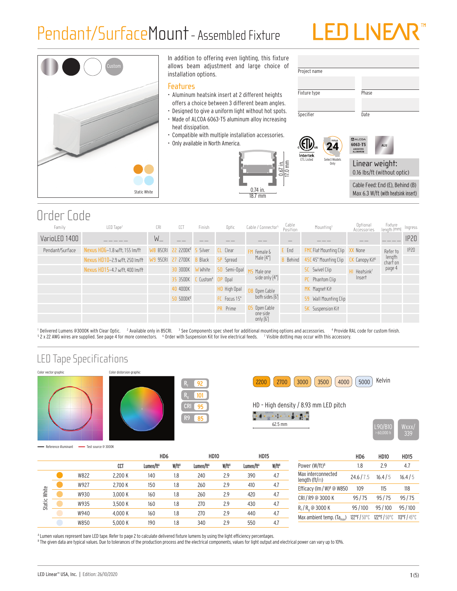## Pendant/SurfaceMount - Assembled Fixture

# LEDLINE



In addition to offering even lighting, this fixture allows beam adjustment and large choice of installation options.

#### **Features**

- Aluminum heatsink insert at 2 different heights offers a choice between 3 different beam angles.
- Designed to give a uniform light without hot spots. • Made of ALCOA 6063-T5 aluminum alloy increasing heat dissipation.
- Compatible with multiple installation accessories.
- Only available in North America.





24 TITLE

ETL Listed Select Models Only





Max 6.3 W/ft (with heatsink insert)

### Order Code

| Family          | LED Tape <sup>1</sup>          | <b>CRI</b>     | CCT                                  | Finish         | Optic                         | Cable / Connector <sup>5</sup> | Cable<br>Position | Mounting <sup>3</sup>                 | Optional<br>Accessories | Fixture<br>Iength (mm)         | Ingress |
|-----------------|--------------------------------|----------------|--------------------------------------|----------------|-------------------------------|--------------------------------|-------------------|---------------------------------------|-------------------------|--------------------------------|---------|
| VarioLED 1400   |                                | $W_{-}$        |                                      |                |                               |                                |                   |                                       |                         |                                | IP20    |
| Pendant/Surface | Nexus HD6-1.8 w/ft, 155 lm/ft  |                | 85CRI 22 2200K <sup>2</sup> 5 Silver |                | CL Clear                      | Female &                       | E End             | <b>FMC</b> Flat Mounting Clip XX None |                         | Refer to                       | IP20    |
|                 | Nexus HD10-2.9 w/ft, 250 lm/ft | 95CRI 27<br>W9 | 2700K                                | <b>B</b> Black | Spread<br>SP.                 | Male [4"]                      | Behind            | 45C 45° Mounting Clip                 | Canopy Kit <sup>6</sup> | length<br>char <del>ť</del> on |         |
|                 | Nexus HD15-4.7 w/ft, 400 lm/ft |                | 30 3000K                             | W White        | Semi-Opal<br>50               | Male one                       |                   | <b>SC</b> Swivel Clip                 | Heatsink <sup>7</sup>   | page 4                         |         |
|                 |                                |                | 35 3500K                             |                | : Custom <sup>4</sup> OP Opal | side only $[4"]$               |                   | PC Phantom Clip                       | Insert                  |                                |         |
|                 |                                |                | 40 4000K                             |                | HO High Opal                  | <b>B</b> Open Cable            |                   | MK Magnet Kit                         |                         |                                |         |
|                 |                                |                | 50 5000K <sup>2</sup>                |                | FC Focus 15°                  | both sides [6']                |                   | 59 Wall Mounting Clip                 |                         |                                |         |
|                 |                                |                |                                      |                | PR Prime                      | <b>OS</b> Open Cable           |                   | <b>SK</b> Suspension Kit              |                         |                                |         |
|                 |                                |                |                                      |                |                               | one side<br>only $[6]$         |                   |                                       |                         |                                |         |

<sup>1</sup> Delivered Lumens @3000K with Clear Optic. <sup>2</sup> Available only in 85CRI. <sup>3</sup> See Components spec sheet for additional mounting options and accessories. <sup>4</sup> Provide RAL code for custom finish.<br><sup>5</sup> 2 x 22 AWG w 2 x 22 AWG wires are supplied. See page 4 for more connectors. <sup>6</sup> Order with Suspension Kit for live electrical feeds. <sup>7</sup> Visible dotting may occur with this accessory.

> 95 85

92 101

### LED Tape Specifications



Reference illuminant -- Test source @ 3000K



 $2200$   $(2700)$   $(3000)$   $(3500)$   $(4000)$   $(5000)$  Kelvin

HD – High density / 8.93 mm LED pitch

 $\int_{\mathbb{R}^d} \frac{d\mu}{d\mu} \, d\mu = \frac{1}{2} \, \mu \left( \frac{d\mu}{d\mu} \, \frac{d\mu}{d\mu} \, \frac{d\mu}{d\mu} \, \frac{d\mu}{d\mu} \, \frac{d\mu}{d\mu} \, \frac{d\mu}{d\mu} \, \frac{d\mu}{d\mu} \, \frac{d\mu}{d\mu} \, \frac{d\mu}{d\mu} \, \frac{d\mu}{d\mu} \, \frac{d\mu}{d\mu} \, \frac{d\mu}{d\mu} \, \frac{d\mu}{d\mu} \, \frac{d\mu}{d$ 



HD6 HD10 HD15

|        |      |         | H <sub>D6</sub>       |                   | <b>HD10</b>           |                   | <b>HD15</b>           |                   |
|--------|------|---------|-----------------------|-------------------|-----------------------|-------------------|-----------------------|-------------------|
|        |      | CCT     | Lumen/ft <sup>A</sup> | W/ft <sup>B</sup> | Lumen/ft <sup>A</sup> | W/ft <sup>B</sup> | Lumen/ft <sup>A</sup> | W/ft <sup>B</sup> |
|        | W822 | 2,200 K | 140                   | 1.8               | 240                   | 2.9               | 390                   | 4.7               |
|        | W927 | 2.700 K | 150                   | 1.8               | 260                   | 2.9               | 410                   | 4.7               |
| White  | W930 | 3.000 K | 160                   | 1.8               | 260                   | 2.9               | 420                   | 4.7               |
| Static | W935 | 3.500 K | 160                   | 1.8               | 270                   | 2.9               | 430                   | 4.7               |
|        | W940 | 4.000 K | 160                   | 1.8               | 270                   | 2.9               | 440                   | 4.7               |
|        | W850 | 5.000 K | 190                   | 1.8               | 340                   | 2.9               | 550                   | 4.7               |

|                                       | .          |            | .            |
|---------------------------------------|------------|------------|--------------|
| Power (W/ft) <sup>B</sup>             | 1.8        | 29         | 4.7          |
| Max interconnected<br>length $(ft/m)$ | 24.6 / 7.5 | 16.4/5     | 16.4/5       |
| Efficacy (Im / W) <sup>8</sup> @ W850 | 109        | 115        | 118          |
| CRI / R9 @ 3000 K                     | 95/75      | 95/75      | 95/75        |
| $R_f/R_q \circledcirc 3000 K$         | 95/100     | 95/100     | 95/100       |
| Max ambient temp. $(T_{\rm d_{max}})$ | 122°F/50°C | 122°F/50°C | 113°F / 45°C |
|                                       |            |            |              |

A Lumen values represent bare LED tape. Refer to page 2 to calculate delivered fixture lumens by using the light efficiency percentages.

 $^{\rm 8}$  The given data are typical values. Due to tolerances of the production process and the electrical components, values for light output and electrical power can vary up to 10%.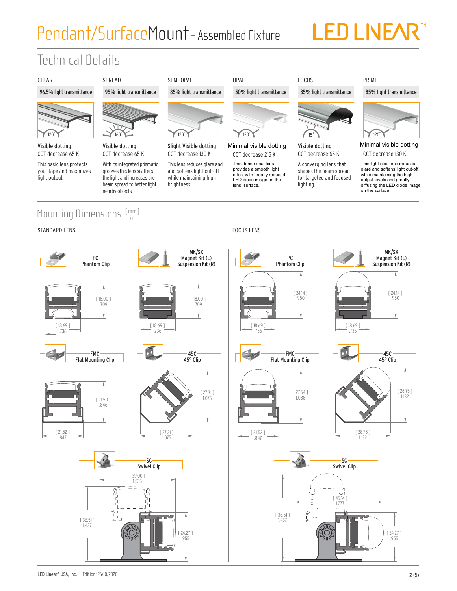## Pendant/SurfaceMount- Assembled Fixture

# LED LIVEAR<sup>®</sup>

## Technical Details



#### Mounting Dimensions [mm] in



#### 85% light transmittance



Minimal visible dotting CCT decrease 130 K

This light opal lens reduce lare and softens light cut-o<br>thile mointeining the bigh while maintaining the night<br>output levels and greatly diffusing the LED diode image This light opal lens reduces glare and softens light cut-off while maintaining the high on the surface.

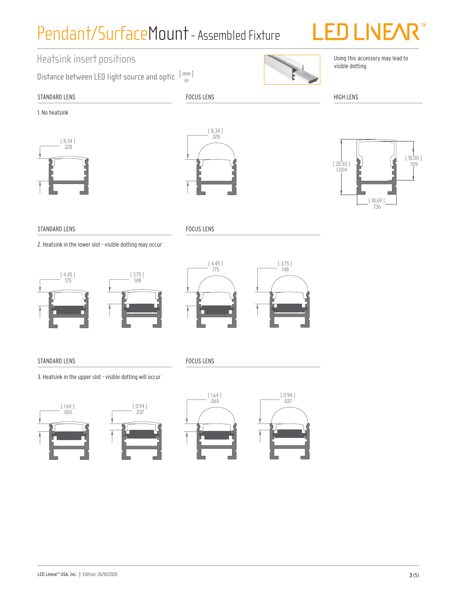## Pendant/SurfaceMount- Assembled Fixture



### Heatsink insert positions

Distance between LED light source and optic  $\frac{\lceil \mathsf{mm} \rceil}{\mathsf{in}}$ in



Using this accessory may lead to visible dotting.

### STANDARD LENS

FOCUS LENS

HIGH LENS

1. No heatsink







#### STANDARD LENS

2. Heatsink in the lower slot - visible dotting may occur

FOCUS LENS

FOCUS LENS





### STANDARD LENS

3. Heatsink in the upper slot - visible dotting will occur





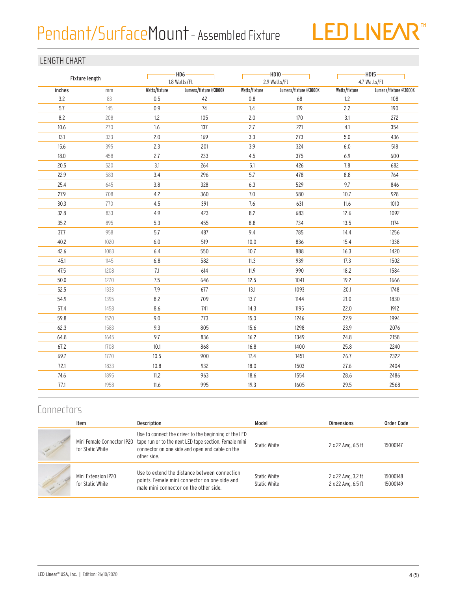## Pendant/SurfaceMount - Assembled Fixture



### LENGTH CHART

|        | Fixture length |               | $-HD6-$<br>1.8 Watts/Ft |               | $-HD10 \cdot$<br>2.9 Watts/Ft | $-HD15-$<br>4.7 Watts/Ft |                       |  |
|--------|----------------|---------------|-------------------------|---------------|-------------------------------|--------------------------|-----------------------|--|
| inches | mm             | Watts/fixture | Lumens/fixture @3000K   | Watts/fixture | Lumens/fixture @3000K         | Watts/fixture            | Lumens/fixture @3000K |  |
| 3.2    | 83             | 0.5           | 42                      | 0.8           | 68                            | 1.2                      | 108                   |  |
| 5.7    | 145            | 0.9           | 74                      | 1.4           | 119                           | 2.2                      | 190                   |  |
| 8.2    | 208            | $1.2\,$       | 105                     | 2.0           | 170                           | 3.1                      | 272                   |  |
| 10.6   | 270            | 1.6           | 137                     | 2.7           | 221                           | 4.1                      | 354                   |  |
| 13.1   | 333            | $2.0\,$       | 169                     | 3.3           | 273                           | $5.0\,$                  | 436                   |  |
| 15.6   | 395            | 2.3           | 201                     | 3.9           | 324                           | 6.0                      | 518                   |  |
| 18.0   | 458            | 2.7           | 233                     | 4.5           | 375                           | 6.9                      | 600                   |  |
| 20.5   | 520            | 3.1           | 264                     | 5.1           | 426                           | 7.8                      | 682                   |  |
| 22.9   | 583            | 3.4           | 296                     | 5.7           | 478                           | 8.8                      | 764                   |  |
| 25.4   | 645            | 3.8           | 328                     | 6.3           | 529                           | 9.7                      | 846                   |  |
| 27.9   | 708            | 4.2           | 360                     | 7.0           | 580                           | 10.7                     | 928                   |  |
| 30.3   | 770            | 4.5           | 391                     | 7.6           | 631                           | 11.6                     | 1010                  |  |
| 32.8   | 833            | 4.9           | 423                     | 8.2           | 683                           | 12.6                     | 1092                  |  |
| 35.2   | 895            | 5.3           | 455                     | 8.8           | 734                           | 13.5                     | 1174                  |  |
| 37.7   | 958            | 5.7           | 487                     | 9.4           | 785                           | 14.4                     | 1256                  |  |
| 40.2   | 1020           | $6.0\,$       | 519                     | 10.0          | 836                           | 15.4                     | 1338                  |  |
| 42.6   | 1083           | 6.4           | 550                     | 10.7          | 888                           | 16.3                     | 1420                  |  |
| 45.1   | 1145           | 6.8           | 582                     | 11.3          | 939                           | 17.3                     | 1502                  |  |
| 47.5   | 1208           | 7.1           | 614                     | 11.9          | 990                           | 18.2                     | 1584                  |  |
| 50.0   | 1270           | 7.5           | 646                     | 12.5          | 1041                          | 19.2                     | 1666                  |  |
| 52.5   | 1333           | 7.9           | 677                     | 13.1          | 1093                          | 20.1                     | 1748                  |  |
| 54.9   | 1395           | 8.2           | 709                     | 13.7          | 1144                          | 21.0                     | 1830                  |  |
| 57.4   | 1458           | 8.6           | 741                     | 14.3          | 1195                          | 22.0                     | 1912                  |  |
| 59.8   | 1520           | 9.0           | 773                     | 15.0          | 1246                          | 22.9                     | 1994                  |  |
| 62.3   | 1583           | 9.3           | 805                     | 15.6          | 1298                          | 23.9                     | 2076                  |  |
| 64.8   | 1645           | 9.7           | 836                     | 16.2          | 1349                          | 24.8                     | 2158                  |  |
| 67.2   | 1708           | 10.1          | 868                     | 16.8          | 1400                          | 25.8                     | 2240                  |  |
| 69.7   | 1770           | 10.5          | 900                     | 17.4          | 1451                          | 26.7                     | 2322                  |  |
| 72.1   | 1833           | 10.8          | 932                     | 18.0          | 1503                          | 27.6                     | 2404                  |  |
| 74.6   | 1895           | 11.2          | 963                     | 18.6          | 1554                          | 28.6                     | 2486                  |  |
| 77.1   | 1958           | 11.6          | 995                     | 19.3          | 1605                          | 29.5                     | 2568                  |  |
|        |                |               |                         |               |                               |                          |                       |  |

### **Connectors**

|        | Item                                    | <b>Description</b>                                                                                                                                                                                          | Model                        | <b>Dimensions</b>                        | Order Code           |
|--------|-----------------------------------------|-------------------------------------------------------------------------------------------------------------------------------------------------------------------------------------------------------------|------------------------------|------------------------------------------|----------------------|
|        | for Static White                        | Use to connect the driver to the beginning of the LED<br>Mini Female Connector IP20 tape run or to the next LED tape section. Female mini<br>connector on one side and open end cable on the<br>other side. | Static White                 | 2 x 22 Awg, 6.5 ft                       | 15000147             |
| $\sim$ | Mini Extension IP20<br>for Static White | Use to extend the distance between connection<br>points. Female mini connector on one side and<br>male mini connector on the other side.                                                                    | Static White<br>Static White | 2 x 22 Awg, 3.2 ft<br>2 x 22 Awg, 6.5 ft | 15000148<br>15000149 |